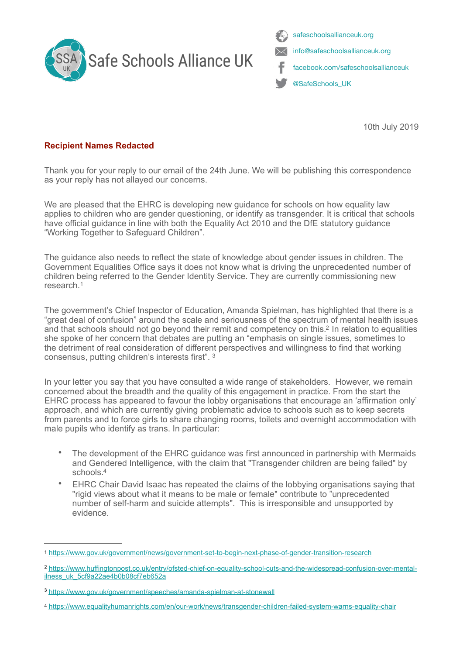



<span id="page-0-5"></span>10th July 2019

## **Recipient Names Redacted**

Thank you for your reply to our email of the 24th June. We will be publishing this correspondence as your reply has not allayed our concerns.

We are pleased that the EHRC is developing new guidance for schools on how equality law applies to children who are gender questioning, or identify as transgender. It is critical that schools have official guidance in line with both the Equality Act 2010 and the DfE statutory guidance "Working Together to Safeguard Children".

The guidance also needs to reflect the state of knowledge about gender issues in children. The Government Equalities Office says it does not know what is driving the unprecedented number of children being referred to the Gender Identity Service. They are currently commissioning new research.[1](#page-0-0)

<span id="page-0-4"></span>The government's Chief Inspector of Education, Amanda Spielman, has highlighted that there is a "great deal of confusion" around the scale and seriousness of the spectrum of mental health issues and that schools should not go beyond their remit and competency on this[.](#page-0-1)<sup>[2](#page-0-1)</sup> In relation to equalities she spoke of her concern that debates are putting an "emphasis on single issues, sometimes to the detriment of real consideration of different perspectives and willingness to find that working consensus, putting children's interests first". [3](#page-0-2)

<span id="page-0-6"></span>In your letter you say that you have consulted a wide range of stakeholders. However, we remain concerned about the breadth and the quality of this engagement in practice. From the start the EHRC process has appeared to favour the lobby organisations that encourage an 'affirmation only' approach, and which are currently giving problematic advice to schools such as to keep secrets from parents and to force girls to share changing rooms, toilets and overnight accommodation with male pupils who identify as trans. In particular:

- The development of the EHRC guidance was first announced in partnership with Mermaids and Gendered Intelligence, with the claim that "Transgender children are being failed" by schools[.](#page-0-3)<sup>[4](#page-0-3)</sup>
- <span id="page-0-7"></span>• EHRC Chair David Isaac has repeated the claims of the lobbying organisations saying that "rigid views about what it means to be male or female" contribute to "unprecedented number of self-harm and suicide attempts". This is irresponsible and unsupported by evidence.

<span id="page-0-0"></span>[<sup>1</sup>](#page-0-4) <https://www.gov.uk/government/news/government-set-to-begin-next-phase-of-gender-transition-research>

<span id="page-0-1"></span>[https://www.huffingtonpost.co.uk/entry/ofsted-chief-on-equality-school-cuts-and-the-widespread-confusion-over-mental-](https://www.google.com/url?q=https://www.google.com/url?q%253Dhttps://www.huffingtonpost.co.uk/entry/ofsted-chief-on-equality-school-cuts-and-the-widespread-confusion-over-mental-ilness_uk_5cf9a22ae4b0b08cf7eb652a%2526amp;sa%253DD%2526amp;ust%253D1562707800887000&sa=D&ust=1562707800902000&usg=AFQjCNGPirwpIf5lDIPG5rIqU50UVmahGA) [2](#page-0-5) ilness\_uk\_5cf9a22ae4b0b08cf7eb652a

<span id="page-0-2"></span>[https://www.gov.uk/government/speeches/amanda-spielman-at-stonewall](https://www.google.com/url?q=https://www.google.com/url?q%253Dhttps://www.gov.uk/government/speeches/amanda-spielman-at-stonewall%2526amp;sa%253DD%2526amp;ust%253D1562707800884000&sa=D&ust=1562707800902000&usg=AFQjCNFVQyKPjjJIjOfqC2x1HeqP7KGPLw) [3](#page-0-6)

<span id="page-0-3"></span>[https://www.equalityhumanrights.com/en/our-work/news/transgender-children-failed-system-warns-equality-chair](https://www.google.com/url?q=https://www.google.com/url?q%253Dhttps://www.equalityhumanrights.com/en/our-work/news/transgender-children-failed-system-warns-equality-chair%2526amp;sa%253DD%2526amp;ust%253D1562707800885000&sa=D&ust=1562707800902000&usg=AFQjCNFLcm3DvoksmDh73WBYuan0wea1Ow) [4](#page-0-7)